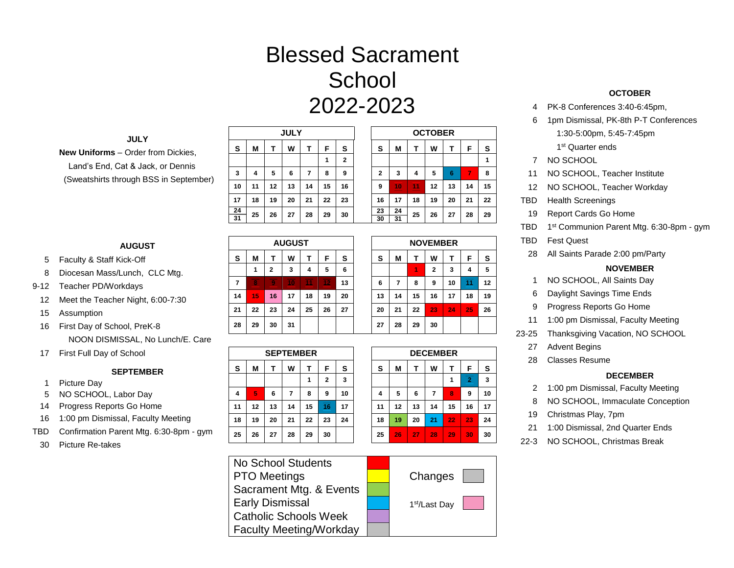# Blessed Sacrament **School** 2022-2023

#### **JULY**

**New Uniforms** – Order from Dickies, Land's End, Cat & Jack, or Dennis (Sweatshirts through BSS in September)

- 5 Faculty & Staff Kick-Off
- 8 Diocesan Mass/Lunch, CLC Mtg.
- 9-12 Teacher PD/Workdays
	- 12 Meet the Teacher Night, 6:00-7:30
	- 15 Assumption
	- 16 First Day of School, PreK-8 NOON DISMISSAL, No Lunch/E. Care
	- 17 First Full Day of School

# **SEPTEMBER**

- 1 Picture Day
- 5 NO SCHOOL, Labor Day
- 14 Progress Reports Go Home
- 16 1:00 pm Dismissal, Faculty Meeting
- TBD Confirmation Parent Mtg. 6:30-8pm gym
- 30 Picture Re-takes

|    |    |    | <b>JULY</b> |    |    |                | <b>OCTOBER</b> |    |    |    |    |    |    |
|----|----|----|-------------|----|----|----------------|----------------|----|----|----|----|----|----|
| s  | М  |    | W           |    | F  | s              | s              | М  |    | W  |    | F  | S  |
|    |    |    |             |    | 1  | $\overline{2}$ |                |    |    |    |    |    | 1  |
| 3  | 4  | 5  | 6           | 7  | 8  | 9              | $\mathbf 2$    | 3  | 4  | 5  | 6  | 7  | 8  |
| 10 | 11 | 12 | 13          | 14 | 15 | 16             | 9              | Ð  |    | 12 | 13 | 14 | 15 |
| 17 | 18 | 19 | 20          | 21 | 22 | 23             | 16             | 17 | 18 | 19 | 20 | 21 | 22 |
| 24 | 25 | 26 | 27          | 28 | 29 | 30             | 23             | 24 | 25 | 26 | 27 | 28 | 29 |
| 31 |    |    |             |    |    |                | 30             | 31 |    |    |    |    |    |

| 3             | 4  | 5  | 6   |    | 8  | 9  |  | $\overline{2}$ | 3         | 4  | 5               | ь  |    | 8                 |
|---------------|----|----|-----|----|----|----|--|----------------|-----------|----|-----------------|----|----|-------------------|
| 10            | 11 | 12 | 13  | 14 | 15 | 16 |  | 9              | $\bullet$ |    | 12              | 13 | 14 | 15                |
| 17            | 18 | 19 | 20  | 21 | 22 | 23 |  | 16             | 17        | 18 | 19              | 20 | 21 | 22                |
| 24            |    |    |     |    |    |    |  | 23             | 24        |    |                 |    |    |                   |
| 31            | 25 | 26 | 27  | 28 | 29 | 30 |  | 30             | 31        | 25 | 26              | 27 | 28 | 29                |
|               |    |    |     |    |    |    |  |                |           |    |                 |    |    |                   |
| <b>AUGUST</b> |    |    |     |    |    |    |  |                |           |    | <b>NOVEMBER</b> |    |    |                   |
| $\sim$        |    | ÷  | ,,, | ÷  | -  | ⌒  |  | $\sim$         |           | ÷  | ,,,             | ÷  | -  | $\mathbf{\hat{}}$ |

|    |    |              | <b>AUGUST</b> |    |    |    | <b>NOVEMBER</b> |    |    |    |    |    |    |
|----|----|--------------|---------------|----|----|----|-----------------|----|----|----|----|----|----|
| s  | М  |              | W             |    | F  | s  | s               | М  |    | W  | т  | F  | s  |
|    | 1  | $\mathbf{2}$ | 3             | 4  | 5  | 6  |                 |    | 1  | 2  | 3  | 4  | 5  |
| 7  |    |              |               |    |    | 13 | 6               | 7  | 8  | 9  | 10 | 11 | 12 |
| 14 | 15 | 16           | 17            | 18 | 19 | 20 | 13              | 14 | 15 | 16 | 17 | 18 | 19 |
| 21 | 22 | 23           | 24            | 25 | 26 | 27 | 20              | 21 | 22 | 23 | 24 | 25 | 26 |
| 28 | 29 | 30           | 31            |    |    |    | 27              | 28 | 29 | 30 |    |    |    |

**OCTOBER** 

|    |    |    | <b>SEPTEMBER</b> |    |              |    | <b>DECEMBER</b> |    |    |    |    |    |    |
|----|----|----|------------------|----|--------------|----|-----------------|----|----|----|----|----|----|
| s  | М  |    | W                |    | F            | s  | s               | М  |    | W  |    | F  | s  |
|    |    |    |                  | 1  | $\mathbf{2}$ | 3  |                 |    |    |    | 1  | э  | 3  |
| 4  | 5  | 6  | 7                | 8  | 9            | 10 | 4               | 5  | 6  | 7  | 8  | 9  | 10 |
| 11 | 12 | 13 | 14               | 15 | 16           | 17 | 11              | 12 | 13 | 14 | 15 | 16 | 17 |
| 18 | 19 | 20 | 21               | 22 | 23           | 24 | 18              | 19 | 20 | 21 | 22 | 23 | 24 |
| 25 | 26 | 27 | 28               | 29 | 30           |    | 25              | 26 | 27 | 28 | 29 | 30 | 30 |
|    |    |    |                  |    |              |    |                 |    |    |    |    |    |    |

| No School Students             |                           |
|--------------------------------|---------------------------|
| <b>PTO Meetings</b>            | Changes                   |
| Sacrament Mtg. & Events        |                           |
| <b>Early Dismissal</b>         | 1 <sup>st</sup> /Last Day |
| <b>Catholic Schools Week</b>   |                           |
| <b>Faculty Meeting/Workday</b> |                           |

# **OCTOBER**

- 4 PK-8 Conferences 3:40-6:45pm,
- 6 1pm Dismissal, PK-8th P-T Conferences 1:30-5:00pm, 5:45-7:45pm

1<sup>st</sup> Quarter ends

- 7 NO SCHOOL
- 11 NO SCHOOL, Teacher Institute
- 12 NO SCHOOL, Teacher Workday
- TBD Health Screenings
- 19 Report Cards Go Home
- TBD 1 1<sup>st</sup> Communion Parent Mtg. 6:30-8pm - gym
- TBD Fest Quest
- 28 All Saints Parade 2:00 pm/Party

#### **NOVEMBER**

- 1 NO SCHOOL, All Saints Day
- 6 Daylight Savings Time Ends
- 9 Progress Reports Go Home
- 11 1:00 pm Dismissal, Faculty Meeting
- 23-25 Thanksgiving Vacation, NO SCHOOL
	- 27 Advent Begins
	- 28 Classes Resume

# **DECEMBER**

- 2 1:00 pm Dismissal, Faculty Meeting
- 8 NO SCHOOL, Immaculate Conception
- 19 Christmas Play, 7pm
- 21 1:00 Dismissal, 2nd Quarter Ends
- 22-3 NO SCHOOL, Christmas Break